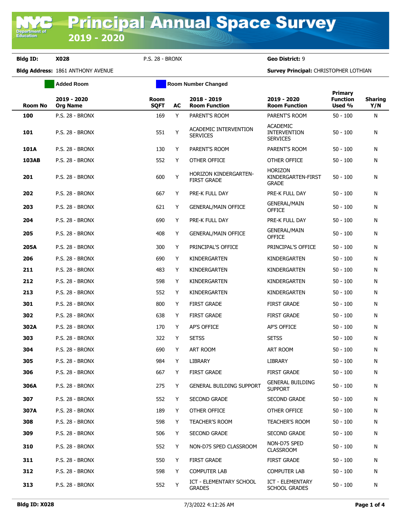**Bldg ID: X028** P.S. 28 - BRONX **Geo District:** 9

**Department o**<br>Education

**Bldg Address:** 1861 ANTHONY AVENUE **Survey Principal:** CHRISTOPHER LOTHIAN

|                | <b>Added Room</b>              | <b>Room Number Changed</b> |    |                                                    |                                                           |                                      |                       |
|----------------|--------------------------------|----------------------------|----|----------------------------------------------------|-----------------------------------------------------------|--------------------------------------|-----------------------|
| <b>Room No</b> | 2019 - 2020<br><b>Org Name</b> | <b>Room</b><br><b>SQFT</b> | AC | 2018 - 2019<br><b>Room Function</b>                | 2019 - 2020<br><b>Room Function</b>                       | Primary<br><b>Function</b><br>Used % | <b>Sharing</b><br>Y/N |
| 100            | P.S. 28 - BRONX                | 169                        | Y  | PARENT'S ROOM                                      | PARENT'S ROOM                                             | $50 - 100$                           | N                     |
| 101            | <b>P.S. 28 - BRONX</b>         | 551                        | Y  | ACADEMIC INTERVENTION<br><b>SERVICES</b>           | <b>ACADEMIC</b><br><b>INTERVENTION</b><br><b>SERVICES</b> | $50 - 100$                           | N                     |
| 101A           | <b>P.S. 28 - BRONX</b>         | 130                        | Y  | PARENT'S ROOM                                      | PARENT'S ROOM                                             | $50 - 100$                           | N                     |
| 103AB          | <b>P.S. 28 - BRONX</b>         | 552                        | Y  | OTHER OFFICE                                       | OTHER OFFICE                                              | $50 - 100$                           | N                     |
| 201            | <b>P.S. 28 - BRONX</b>         | 600                        | Y  | <b>HORIZON KINDERGARTEN-</b><br><b>FIRST GRADE</b> | <b>HORIZON</b><br>KINDERGARTEN-FIRST<br><b>GRADE</b>      | $50 - 100$                           | N                     |
| 202            | <b>P.S. 28 - BRONX</b>         | 667                        | Y  | PRE-K FULL DAY                                     | PRE-K FULL DAY                                            | $50 - 100$                           | N                     |
| 203            | <b>P.S. 28 - BRONX</b>         | 621                        | Y  | <b>GENERAL/MAIN OFFICE</b>                         | <b>GENERAL/MAIN</b><br><b>OFFICE</b>                      | $50 - 100$                           | N                     |
| 204            | <b>P.S. 28 - BRONX</b>         | 690                        | Y  | PRE-K FULL DAY                                     | PRE-K FULL DAY                                            | $50 - 100$                           | N                     |
| 205            | <b>P.S. 28 - BRONX</b>         | 408                        | Y  | <b>GENERAL/MAIN OFFICE</b>                         | <b>GENERAL/MAIN</b><br><b>OFFICE</b>                      | $50 - 100$                           | N                     |
| 205A           | <b>P.S. 28 - BRONX</b>         | 300                        | Y  | PRINCIPAL'S OFFICE                                 | PRINCIPAL'S OFFICE                                        | $50 - 100$                           | N                     |
| 206            | <b>P.S. 28 - BRONX</b>         | 690                        | Y  | KINDERGARTEN                                       | KINDERGARTEN                                              | $50 - 100$                           | N                     |
| 211            | <b>P.S. 28 - BRONX</b>         | 483                        | Y  | KINDERGARTEN                                       | KINDERGARTEN                                              | $50 - 100$                           | N                     |
| 212            | <b>P.S. 28 - BRONX</b>         | 598                        | Y  | KINDERGARTEN                                       | KINDERGARTEN                                              | $50 - 100$                           | N                     |
| 213            | <b>P.S. 28 - BRONX</b>         | 552                        | Y  | KINDERGARTEN                                       | KINDERGARTEN                                              | $50 - 100$                           | N                     |
| 301            | P.S. 28 - BRONX                | 800                        | Y  | <b>FIRST GRADE</b>                                 | <b>FIRST GRADE</b>                                        | $50 - 100$                           | N                     |
| 302            | <b>P.S. 28 - BRONX</b>         | 638                        | Y  | <b>FIRST GRADE</b>                                 | <b>FIRST GRADE</b>                                        | $50 - 100$                           | N                     |
| 302A           | P.S. 28 - BRONX                | 170                        | Y  | <b>AP'S OFFICE</b>                                 | AP'S OFFICE                                               | $50 - 100$                           | N                     |
| 303            | <b>P.S. 28 - BRONX</b>         | 322                        | Y  | <b>SETSS</b>                                       | <b>SETSS</b>                                              | $50 - 100$                           | N                     |
| 304            | P.S. 28 - BRONX                | 690                        | Y  | ART ROOM                                           | ART ROOM                                                  | $50 - 100$                           | N                     |
| 305            | <b>P.S. 28 - BRONX</b>         | 984                        | Y  | <b>LIBRARY</b>                                     | <b>LIBRARY</b>                                            | $50 - 100$                           | N                     |
| 306            | <b>P.S. 28 - BRONX</b>         | 667                        | Y  | <b>FIRST GRADE</b>                                 | <b>FIRST GRADE</b>                                        | $50 - 100$                           | N                     |
| 306A           | <b>P.S. 28 - BRONX</b>         | 275                        | Y  | <b>GENERAL BUILDING SUPPORT</b>                    | <b>GENERAL BUILDING</b><br><b>SUPPORT</b>                 | $50 - 100$                           | N                     |
| 307            | P.S. 28 - BRONX                | 552                        | Y  | SECOND GRADE                                       | <b>SECOND GRADE</b>                                       | $50 - 100$                           | N                     |
| 307A           | <b>P.S. 28 - BRONX</b>         | 189                        | Y  | OTHER OFFICE                                       | OTHER OFFICE                                              | $50 - 100$                           | N                     |
| 308            | P.S. 28 - BRONX                | 598                        | Y  | <b>TEACHER'S ROOM</b>                              | <b>TEACHER'S ROOM</b>                                     | $50 - 100$                           | N                     |
| 309            | <b>P.S. 28 - BRONX</b>         | 506                        | Y  | SECOND GRADE                                       | <b>SECOND GRADE</b>                                       | $50 - 100$                           | N                     |
| 310            | P.S. 28 - BRONX                | 552                        | Y  | NON-D75 SPED CLASSROOM                             | NON-D75 SPED<br><b>CLASSROOM</b>                          | $50 - 100$                           | N                     |
| 311            | P.S. 28 - BRONX                | 550                        | Y  | <b>FIRST GRADE</b>                                 | <b>FIRST GRADE</b>                                        | $50 - 100$                           | N                     |
| 312            | <b>P.S. 28 - BRONX</b>         | 598                        | Y  | <b>COMPUTER LAB</b>                                | <b>COMPUTER LAB</b>                                       | $50 - 100$                           | N                     |
| 313            | P.S. 28 - BRONX                | 552                        | Y  | <b>ICT - ELEMENTARY SCHOOL</b><br><b>GRADES</b>    | ICT - ELEMENTARY<br><b>SCHOOL GRADES</b>                  | $50 - 100$                           | N                     |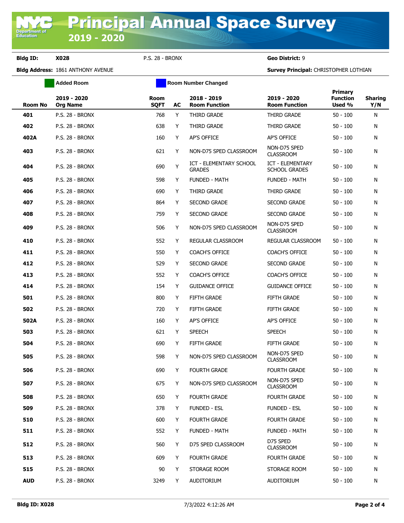**Bldg ID: X028** P.S. 28 - BRONX **Geo District:** 9

**Bldg Address:** 1861 ANTHONY AVENUE **Survey Principal:** CHRISTOPHER LOTHIAN

|            | <b>Added Room</b>              |                            | <b>Room Number Changed</b> |                                          |                                                 |                                             |                       |
|------------|--------------------------------|----------------------------|----------------------------|------------------------------------------|-------------------------------------------------|---------------------------------------------|-----------------------|
| Room No    | 2019 - 2020<br><b>Org Name</b> | <b>Room</b><br><b>SQFT</b> | AC                         | 2018 - 2019<br><b>Room Function</b>      | 2019 - 2020<br><b>Room Function</b>             | <b>Primary</b><br><b>Function</b><br>Used % | <b>Sharing</b><br>Y/N |
| 401        | P.S. 28 - BRONX                | 768                        | Y                          | THIRD GRADE                              | THIRD GRADE                                     | $50 - 100$                                  | N                     |
| 402        | <b>P.S. 28 - BRONX</b>         | 638                        | Y                          | THIRD GRADE                              | THIRD GRADE                                     | $50 - 100$                                  | N                     |
| 402A       | <b>P.S. 28 - BRONX</b>         | 160                        | Y                          | AP'S OFFICE                              | AP'S OFFICE                                     | 50 - 100                                    | N                     |
| 403        | <b>P.S. 28 - BRONX</b>         | 621                        | Y                          | NON-D75 SPED CLASSROOM                   | NON-D75 SPED<br><b>CLASSROOM</b>                | 50 - 100                                    | N                     |
| 404        | <b>P.S. 28 - BRONX</b>         | 690                        | Υ                          | ICT - ELEMENTARY SCHOOL<br><b>GRADES</b> | <b>ICT - ELEMENTARY</b><br><b>SCHOOL GRADES</b> | 50 - 100                                    | N                     |
| 405        | <b>P.S. 28 - BRONX</b>         | 598                        | Y                          | <b>FUNDED - MATH</b>                     | <b>FUNDED - MATH</b>                            | 50 - 100                                    | N                     |
| 406        | <b>P.S. 28 - BRONX</b>         | 690                        | Y                          | THIRD GRADE                              | THIRD GRADE                                     | 50 - 100                                    | N                     |
| 407        | <b>P.S. 28 - BRONX</b>         | 864                        | Y                          | <b>SECOND GRADE</b>                      | SECOND GRADE                                    | 50 - 100                                    | N                     |
| 408        | <b>P.S. 28 - BRONX</b>         | 759                        | Y                          | <b>SECOND GRADE</b>                      | <b>SECOND GRADE</b>                             | 50 - 100                                    | N                     |
| 409        | <b>P.S. 28 - BRONX</b>         | 506                        | Y                          | NON-D75 SPED CLASSROOM                   | NON-D75 SPED<br><b>CLASSROOM</b>                | 50 - 100                                    | N                     |
| 410        | <b>P.S. 28 - BRONX</b>         | 552                        | Y                          | REGULAR CLASSROOM                        | REGULAR CLASSROOM                               | $50 - 100$                                  | N                     |
| 411        | <b>P.S. 28 - BRONX</b>         | 550                        | Y                          | <b>COACH'S OFFICE</b>                    | <b>COACH'S OFFICE</b>                           | 50 - 100                                    | N                     |
| 412        | <b>P.S. 28 - BRONX</b>         | 529                        | Y                          | <b>SECOND GRADE</b>                      | <b>SECOND GRADE</b>                             | 50 - 100                                    | N                     |
| 413        | <b>P.S. 28 - BRONX</b>         | 552                        | Y                          | <b>COACH'S OFFICE</b>                    | <b>COACH'S OFFICE</b>                           | 50 - 100                                    | N                     |
| 414        | <b>P.S. 28 - BRONX</b>         | 154                        | Y                          | <b>GUIDANCE OFFICE</b>                   | <b>GUIDANCE OFFICE</b>                          | 50 - 100                                    | N                     |
| 501        | <b>P.S. 28 - BRONX</b>         | 800                        | Y                          | <b>FIFTH GRADE</b>                       | FIFTH GRADE                                     | 50 - 100                                    | N                     |
| 502        | <b>P.S. 28 - BRONX</b>         | 720                        | Y                          | <b>FIFTH GRADE</b>                       | FIFTH GRADE                                     | 50 - 100                                    | N                     |
| 502A       | <b>P.S. 28 - BRONX</b>         | 160                        | Y                          | AP'S OFFICE                              | AP'S OFFICE                                     | $50 - 100$                                  | N                     |
| 503        | <b>P.S. 28 - BRONX</b>         | 621                        | Y                          | <b>SPEECH</b>                            | <b>SPEECH</b>                                   | 50 - 100                                    | N                     |
| 504        | <b>P.S. 28 - BRONX</b>         | 690                        | Y                          | <b>FIFTH GRADE</b>                       | <b>FIFTH GRADE</b>                              | $50 - 100$                                  | N                     |
| 505        | <b>P.S. 28 - BRONX</b>         | 598                        | Y                          | NON-D75 SPED CLASSROOM                   | NON-D75 SPED<br><b>CLASSROOM</b>                | $50 - 100$                                  | N                     |
| 506        | P.S. 28 - BRONX                | 690                        | Y                          | <b>FOURTH GRADE</b>                      | <b>FOURTH GRADE</b>                             | 50 - 100                                    | N                     |
| 507        | <b>P.S. 28 - BRONX</b>         | 675                        | Y                          | NON-D75 SPED CLASSROOM                   | NON-D75 SPED<br><b>CLASSROOM</b>                | $50 - 100$                                  | N                     |
| 508        | P.S. 28 - BRONX                | 650                        | Y                          | <b>FOURTH GRADE</b>                      | <b>FOURTH GRADE</b>                             | $50 - 100$                                  | N                     |
| 509        | <b>P.S. 28 - BRONX</b>         | 378                        | Y                          | <b>FUNDED - ESL</b>                      | <b>FUNDED - ESL</b>                             | $50 - 100$                                  | N                     |
| 510        | P.S. 28 - BRONX                | 600                        | Y                          | <b>FOURTH GRADE</b>                      | <b>FOURTH GRADE</b>                             | $50 - 100$                                  | N                     |
| 511        | P.S. 28 - BRONX                | 552                        | Y                          | <b>FUNDED - MATH</b>                     | <b>FUNDED - MATH</b>                            | $50 - 100$                                  | N                     |
| 512        | P.S. 28 - BRONX                | 560                        | Y                          | D75 SPED CLASSROOM                       | D75 SPED<br><b>CLASSROOM</b>                    | 50 - 100                                    | N                     |
| 513        | P.S. 28 - BRONX                | 609                        | Y                          | <b>FOURTH GRADE</b>                      | <b>FOURTH GRADE</b>                             | $50 - 100$                                  | N                     |
| 515        | P.S. 28 - BRONX                | 90                         | Y                          | STORAGE ROOM                             | STORAGE ROOM                                    | $50 - 100$                                  | N                     |
| <b>AUD</b> | P.S. 28 - BRONX                | 3249                       | Y                          | AUDITORIUM                               | AUDITORIUM                                      | $50 - 100$                                  | N                     |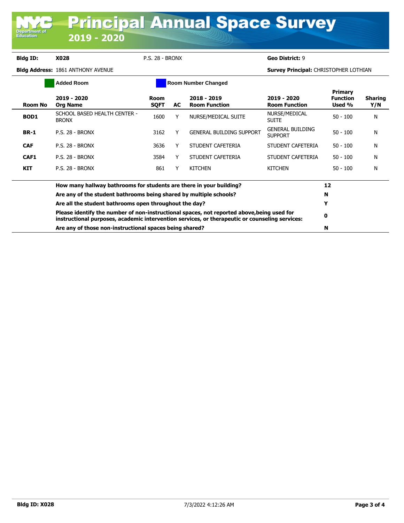**Bldg ID: X028** P.S. 28 - BRONX **Geo District:** 9

**Department of**<br>Education

**Bldg Address:** 1861 ANTHONY AVENUE **Survey Principal:** CHRISTOPHER LOTHIAN

| <b>Added Room</b> |                                                                                                                                                                                              | <b>Room Number Changed</b> |     |                                     |                                           |                                      |                       |
|-------------------|----------------------------------------------------------------------------------------------------------------------------------------------------------------------------------------------|----------------------------|-----|-------------------------------------|-------------------------------------------|--------------------------------------|-----------------------|
| Room No           | 2019 - 2020<br><b>Org Name</b>                                                                                                                                                               | <b>Room</b><br><b>SQFT</b> | AC. | 2018 - 2019<br><b>Room Function</b> | 2019 - 2020<br><b>Room Function</b>       | Primary<br><b>Function</b><br>Used % | <b>Sharing</b><br>Y/N |
| BOD1              | SCHOOL BASED HEALTH CENTER -<br><b>BRONX</b>                                                                                                                                                 | 1600                       |     | NURSE/MEDICAL SUITE                 | NURSE/MEDICAL<br><b>SUITE</b>             | $50 - 100$                           | N                     |
| <b>BR-1</b>       | <b>P.S. 28 - BRONX</b>                                                                                                                                                                       | 3162                       |     | <b>GENERAL BUILDING SUPPORT</b>     | <b>GENERAL BUILDING</b><br><b>SUPPORT</b> | $50 - 100$                           | N                     |
| <b>CAF</b>        | <b>P.S. 28 - BRONX</b>                                                                                                                                                                       | 3636                       | Y   | STUDENT CAFETERIA                   | STUDENT CAFETERIA                         | $50 - 100$                           | N                     |
| CAF1              | <b>P.S. 28 - BRONX</b>                                                                                                                                                                       | 3584                       | Y   | STUDENT CAFETERIA                   | STUDENT CAFETERIA                         | $50 - 100$                           | N                     |
| <b>KIT</b>        | <b>P.S. 28 - BRONX</b>                                                                                                                                                                       | 861                        |     | <b>KITCHEN</b>                      | <b>KITCHEN</b>                            | $50 - 100$                           | N                     |
|                   | How many hallway bathrooms for students are there in your building?                                                                                                                          |                            |     |                                     |                                           |                                      |                       |
|                   | Are any of the student bathrooms being shared by multiple schools?                                                                                                                           |                            |     |                                     |                                           |                                      |                       |
|                   | Are all the student bathrooms open throughout the day?                                                                                                                                       |                            |     |                                     |                                           |                                      |                       |
|                   | Please identify the number of non-instructional spaces, not reported above, being used for<br>instructional purposes, academic intervention services, or therapeutic or counseling services: |                            |     |                                     |                                           |                                      |                       |
|                   | Are any of those non-instructional spaces being shared?                                                                                                                                      |                            |     |                                     |                                           |                                      |                       |